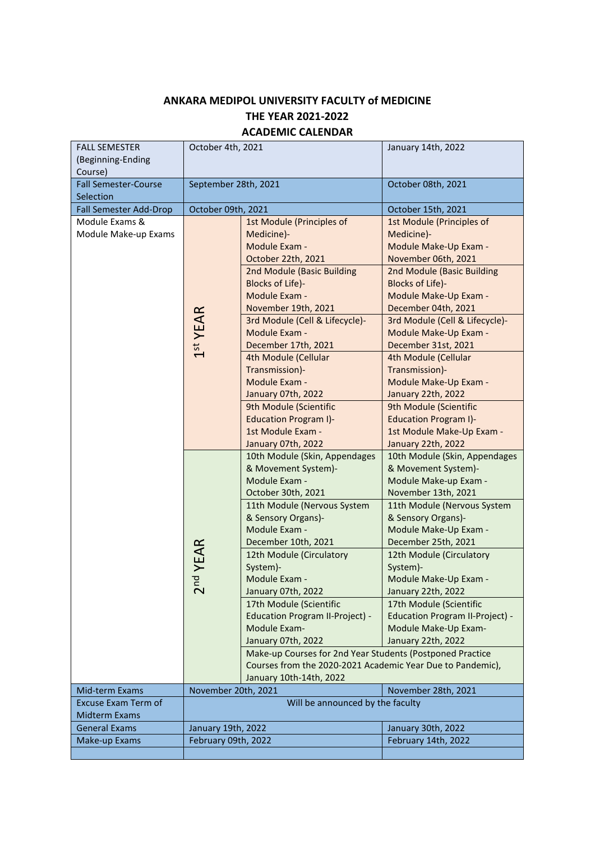## **ANKARA MEDIPOL UNIVERSITY FACULTY of MEDICINE THE YEAR 2021-2022 ACADEMIC CALENDAR**

| <b>FALL SEMESTER</b><br>(Beginning-Ending<br>Course) | October 4th, 2021                          |                                                                                                                                                                                                                                                                                                                                                                                                                                                                                                                              | January 14th, 2022                                                                                                                                                                                                                                                                                                                                                                                                                                          |
|------------------------------------------------------|--------------------------------------------|------------------------------------------------------------------------------------------------------------------------------------------------------------------------------------------------------------------------------------------------------------------------------------------------------------------------------------------------------------------------------------------------------------------------------------------------------------------------------------------------------------------------------|-------------------------------------------------------------------------------------------------------------------------------------------------------------------------------------------------------------------------------------------------------------------------------------------------------------------------------------------------------------------------------------------------------------------------------------------------------------|
| <b>Fall Semester-Course</b>                          | September 28th, 2021                       |                                                                                                                                                                                                                                                                                                                                                                                                                                                                                                                              | October 08th, 2021                                                                                                                                                                                                                                                                                                                                                                                                                                          |
| Selection                                            |                                            |                                                                                                                                                                                                                                                                                                                                                                                                                                                                                                                              |                                                                                                                                                                                                                                                                                                                                                                                                                                                             |
| Fall Semester Add-Drop                               | October 09th, 2021                         |                                                                                                                                                                                                                                                                                                                                                                                                                                                                                                                              | October 15th, 2021                                                                                                                                                                                                                                                                                                                                                                                                                                          |
| Module Exams &<br>Module Make-up Exams               | 1 <sup>st</sup> YEAR                       | 1st Module (Principles of<br>Medicine)-<br>Module Exam -<br>October 22th, 2021<br>2nd Module (Basic Building<br>Blocks of Life)-<br>Module Exam -<br>November 19th, 2021<br>3rd Module (Cell & Lifecycle)-<br>Module Exam -<br>December 17th, 2021<br>4th Module (Cellular<br>Transmission)-<br>Module Exam -<br>January 07th, 2022<br>9th Module (Scientific<br><b>Education Program I)-</b><br>1st Module Exam -                                                                                                           | 1st Module (Principles of<br>Medicine)-<br>Module Make-Up Exam -<br>November 06th, 2021<br>2nd Module (Basic Building<br>Blocks of Life)-<br>Module Make-Up Exam -<br>December 04th, 2021<br>3rd Module (Cell & Lifecycle)-<br>Module Make-Up Exam -<br>December 31st, 2021<br>4th Module (Cellular<br>Transmission)-<br>Module Make-Up Exam -<br>January 22th, 2022<br>9th Module (Scientific<br><b>Education Program I)-</b><br>1st Module Make-Up Exam - |
|                                                      | nd YEAR<br>$\mathsf{\sim}$                 | January 07th, 2022<br>10th Module (Skin, Appendages<br>& Movement System)-<br>Module Exam -<br>October 30th, 2021<br>11th Module (Nervous System<br>& Sensory Organs)-<br>Module Exam -<br>December 10th, 2021<br>12th Module (Circulatory<br>System)-<br>Module Exam -<br>January 07th, 2022<br>17th Module (Scientific<br>Education Program II-Project) -<br>Module Exam-<br>January 07th, 2022<br>Make-up Courses for 2nd Year Students (Postponed Practice<br>Courses from the 2020-2021 Academic Year Due to Pandemic), | January 22th, 2022<br>10th Module (Skin, Appendages<br>& Movement System)-<br>Module Make-up Exam -<br>November 13th, 2021<br>11th Module (Nervous System<br>& Sensory Organs)-<br>Module Make-Up Exam -<br>December 25th, 2021<br>12th Module (Circulatory<br>System)-<br>Module Make-Up Exam -<br>January 22th, 2022<br>17th Module (Scientific<br>Education Program II-Project) -<br>Module Make-Up Exam-<br>January 22th, 2022                          |
|                                                      |                                            | January 10th-14th, 2022                                                                                                                                                                                                                                                                                                                                                                                                                                                                                                      |                                                                                                                                                                                                                                                                                                                                                                                                                                                             |
| Mid-term Exams                                       | November 20th, 2021<br>November 28th, 2021 |                                                                                                                                                                                                                                                                                                                                                                                                                                                                                                                              |                                                                                                                                                                                                                                                                                                                                                                                                                                                             |
| Excuse Exam Term of<br><b>Midterm Exams</b>          | Will be announced by the faculty           |                                                                                                                                                                                                                                                                                                                                                                                                                                                                                                                              |                                                                                                                                                                                                                                                                                                                                                                                                                                                             |
|                                                      |                                            |                                                                                                                                                                                                                                                                                                                                                                                                                                                                                                                              |                                                                                                                                                                                                                                                                                                                                                                                                                                                             |
| <b>General Exams</b>                                 | January 19th, 2022                         |                                                                                                                                                                                                                                                                                                                                                                                                                                                                                                                              | January 30th, 2022                                                                                                                                                                                                                                                                                                                                                                                                                                          |
| Make-up Exams                                        | February 09th, 2022<br>February 14th, 2022 |                                                                                                                                                                                                                                                                                                                                                                                                                                                                                                                              |                                                                                                                                                                                                                                                                                                                                                                                                                                                             |